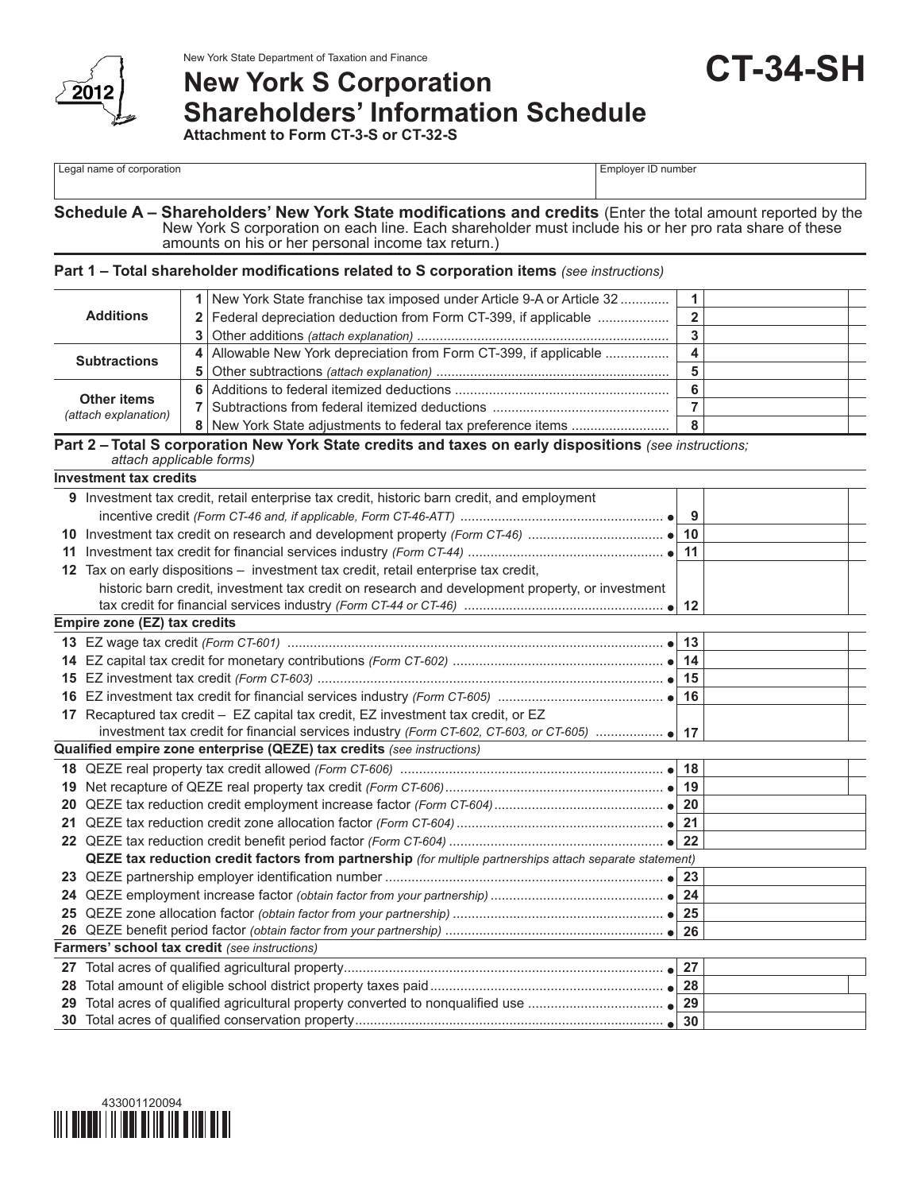

# New York State Department of Taxation and Finance<br> **New York S** Corporation **Shareholders' Information Schedule Attachment to Form CT-3-S or CT-32-S**

#### **Schedule A – Shareholders' New York State modifications and credits** (Enter the total amount reported by the New York S corporation on each line. Each shareholder must include his or her pro rata share of these amounts on his or her personal income tax return.)

### **Part 1 – Total shareholder modifications related to S corporation items** *(see instructions)*

|                                            | 1 New York State franchise tax imposed under Article 9-A or Article 32 |  |  |
|--------------------------------------------|------------------------------------------------------------------------|--|--|
| <b>Additions</b>                           | 2   Federal depreciation deduction from Form CT-399, if applicable     |  |  |
|                                            |                                                                        |  |  |
| <b>Subtractions</b>                        | 4 Allowable New York depreciation from Form CT-399, if applicable      |  |  |
|                                            |                                                                        |  |  |
|                                            |                                                                        |  |  |
| <b>Other items</b><br>(attach explanation) |                                                                        |  |  |
|                                            |                                                                        |  |  |

#### **Part 2 – Total S corporation New York State credits and taxes on early dispositions** *(see instructions; attach applicable forms)*

**Investment tax credits**

|                 | IIIVESLIIIEIIL LAA CIEUILS                                                                               |  |  |  |
|-----------------|----------------------------------------------------------------------------------------------------------|--|--|--|
|                 | <b>9</b> Investment tax credit, retail enterprise tax credit, historic barn credit, and employment       |  |  |  |
|                 |                                                                                                          |  |  |  |
| 10              |                                                                                                          |  |  |  |
| 11              |                                                                                                          |  |  |  |
| 12 <sup>°</sup> | Tax on early dispositions - investment tax credit, retail enterprise tax credit,                         |  |  |  |
|                 | historic barn credit, investment tax credit on research and development property, or investment          |  |  |  |
|                 |                                                                                                          |  |  |  |
|                 | Empire zone (EZ) tax credits                                                                             |  |  |  |
| 13              |                                                                                                          |  |  |  |
| 14              |                                                                                                          |  |  |  |
| 15              |                                                                                                          |  |  |  |
| 16              |                                                                                                          |  |  |  |
| 17              | Recaptured tax credit - EZ capital tax credit, EZ investment tax credit, or EZ                           |  |  |  |
|                 |                                                                                                          |  |  |  |
|                 | Qualified empire zone enterprise (QEZE) tax credits (see instructions)                                   |  |  |  |
|                 |                                                                                                          |  |  |  |
| 19              |                                                                                                          |  |  |  |
| 20              |                                                                                                          |  |  |  |
| 21              |                                                                                                          |  |  |  |
|                 |                                                                                                          |  |  |  |
|                 | QEZE tax reduction credit factors from partnership (for multiple partnerships attach separate statement) |  |  |  |
| 23              |                                                                                                          |  |  |  |
| 24              |                                                                                                          |  |  |  |
| 25              |                                                                                                          |  |  |  |
| 26              |                                                                                                          |  |  |  |
|                 | Farmers' school tax credit (see instructions)                                                            |  |  |  |
| 27              |                                                                                                          |  |  |  |
| 28              |                                                                                                          |  |  |  |
| 29              |                                                                                                          |  |  |  |
|                 |                                                                                                          |  |  |  |
|                 |                                                                                                          |  |  |  |

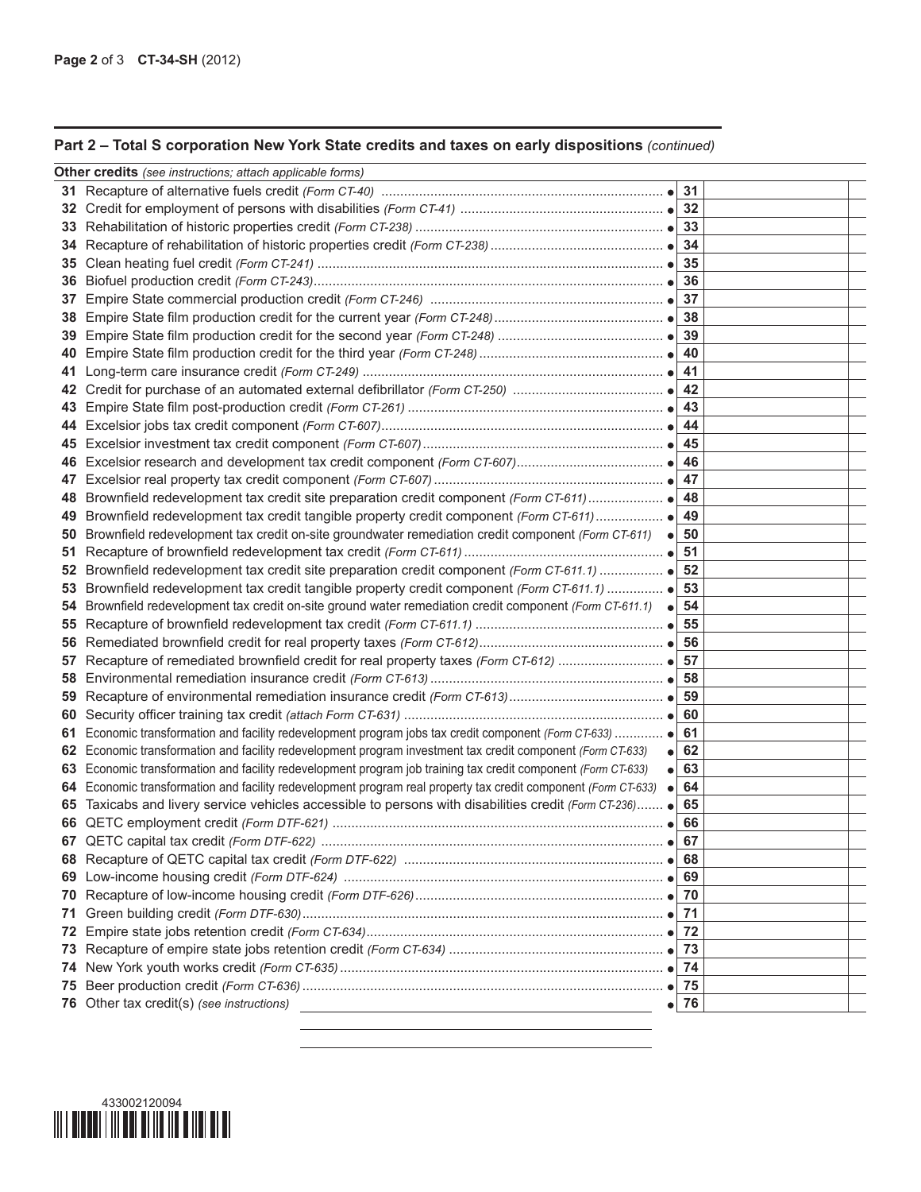## **Part 2 – Total S corporation New York State credits and taxes on early dispositions** *(continued)*

|     | <b>Other credits</b> (see instructions; attach applicable forms)                                                                                                                                                  |          |  |
|-----|-------------------------------------------------------------------------------------------------------------------------------------------------------------------------------------------------------------------|----------|--|
|     |                                                                                                                                                                                                                   | 31       |  |
| 32  |                                                                                                                                                                                                                   | 32       |  |
| 33  |                                                                                                                                                                                                                   | 33       |  |
| 34  |                                                                                                                                                                                                                   | 34       |  |
| 35  |                                                                                                                                                                                                                   | 35       |  |
| 36  |                                                                                                                                                                                                                   | 36       |  |
| 37  |                                                                                                                                                                                                                   | 37       |  |
| 38  |                                                                                                                                                                                                                   | 38       |  |
| 39  |                                                                                                                                                                                                                   | 39       |  |
| 40  |                                                                                                                                                                                                                   | 40       |  |
| 41  |                                                                                                                                                                                                                   | 41       |  |
| 42  |                                                                                                                                                                                                                   | 42       |  |
| 43  |                                                                                                                                                                                                                   | 43       |  |
| 44  |                                                                                                                                                                                                                   | 44       |  |
|     |                                                                                                                                                                                                                   | 45       |  |
| 46  |                                                                                                                                                                                                                   | 46       |  |
| 47  |                                                                                                                                                                                                                   | 47       |  |
| 48  |                                                                                                                                                                                                                   | 48       |  |
| 49  |                                                                                                                                                                                                                   | 49       |  |
| 50  | Brownfield redevelopment tax credit on-site groundwater remediation credit component (Form CT-611)                                                                                                                | 50       |  |
| 51  |                                                                                                                                                                                                                   | 51       |  |
| 52  |                                                                                                                                                                                                                   | 52       |  |
| 53  | Brownfield redevelopment tax credit tangible property credit component (Form CT-611.1)  ●                                                                                                                         | 53       |  |
| 54  | Brownfield redevelopment tax credit on-site ground water remediation credit component (Form CT-611.1)                                                                                                             | 54       |  |
| 55  |                                                                                                                                                                                                                   | 55       |  |
| 56  |                                                                                                                                                                                                                   | 56       |  |
| 57  |                                                                                                                                                                                                                   | 57       |  |
| 58  |                                                                                                                                                                                                                   | 58       |  |
| 59  |                                                                                                                                                                                                                   | 59       |  |
| 60  |                                                                                                                                                                                                                   | 60<br>61 |  |
| 61  | Economic transformation and facility redevelopment program jobs tax credit component (Form CT-633)  ●<br>Economic transformation and facility redevelopment program investment tax credit component (Form CT-633) | 62       |  |
| 62  | 63 Economic transformation and facility redevelopment program job training tax credit component (Form CT-633)                                                                                                     | 63       |  |
|     | 64 Economic transformation and facility redevelopment program real property tax credit component (Form CT-633)                                                                                                    | 64       |  |
|     | 65 Taxicabs and livery service vehicles accessible to persons with disabilities credit (Form CT-236) .                                                                                                            | 65       |  |
|     |                                                                                                                                                                                                                   | 66       |  |
| 67  |                                                                                                                                                                                                                   |          |  |
|     |                                                                                                                                                                                                                   |          |  |
|     |                                                                                                                                                                                                                   | 69       |  |
| 70  |                                                                                                                                                                                                                   | 70       |  |
| 71  |                                                                                                                                                                                                                   | 71       |  |
| 72  |                                                                                                                                                                                                                   | 72       |  |
| 73  |                                                                                                                                                                                                                   | 73       |  |
| 74. |                                                                                                                                                                                                                   |          |  |
| 75  |                                                                                                                                                                                                                   |          |  |
|     | 76 Other tax credit(s) (see instructions)<br>$\bullet$                                                                                                                                                            | 76       |  |
|     |                                                                                                                                                                                                                   |          |  |